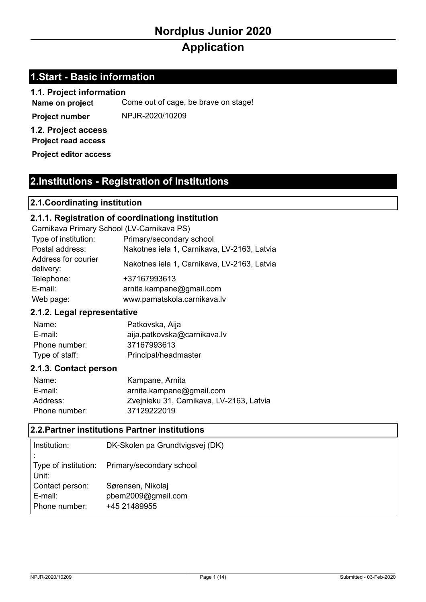# **Nordplus Junior 2020**

# **Application**

# **1.Start - Basic information**

**1.1. Project information Name on project** Come out of cage, be brave on stage! **Project number** NPJR-2020/10209 **1.2. Project access Project read access Project editor access**

# **2.Institutions - Registration of Institutions**

## **2.1.Coordinating institution**

## **2.1.1. Registration of coordinationg institution**

| Carnikava Primary School (LV-Carnikava PS) |                                             |  |  |
|--------------------------------------------|---------------------------------------------|--|--|
| Type of institution:                       | Primary/secondary school                    |  |  |
| Postal address:                            | Nakotnes iela 1, Carnikava, LV-2163, Latvia |  |  |
| Address for courier<br>delivery:           | Nakotnes iela 1, Carnikava, LV-2163, Latvia |  |  |
| Telephone:                                 | +37167993613                                |  |  |
| E-mail:                                    | arnita.kampane@gmail.com                    |  |  |
| Web page:                                  | www.pamatskola.carnikava.lv                 |  |  |

#### **2.1.2. Legal representative**

| Name:          | Patkovska, Aija             |
|----------------|-----------------------------|
| E-mail:        | aija.patkovska@carnikava.lv |
| Phone number:  | 37167993613                 |
| Type of staff: | Principal/headmaster        |

#### **2.1.3. Contact person**

| Name:         | Kampane, Arnita                          |
|---------------|------------------------------------------|
| E-mail:       | arnita.kampane@gmail.com                 |
| Address:      | Zvejnieku 31, Carnikava, LV-2163, Latvia |
| Phone number: | 37129222019                              |

#### **2.2.Partner institutions Partner institutions**

| Institution:    | DK-Skolen pa Grundtvigsvej (DK)               |
|-----------------|-----------------------------------------------|
| Unit:           | Type of institution: Primary/secondary school |
| Contact person: | Sørensen, Nikolaj                             |
| E-mail:         | pbem2009@gmail.com                            |
| Phone number:   | +45 21489955                                  |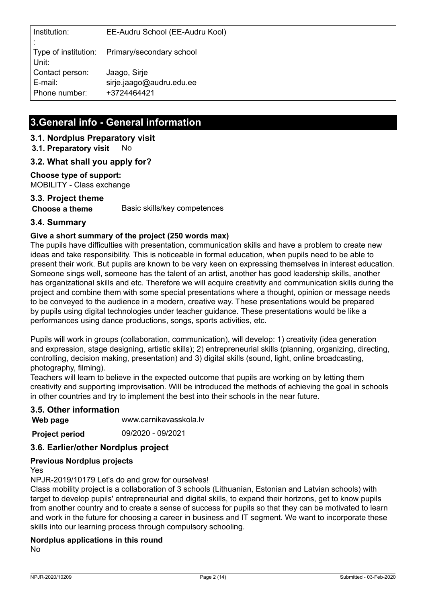| Institution:                                | EE-Audru School (EE-Audru Kool)                         |
|---------------------------------------------|---------------------------------------------------------|
| Unit:                                       | Type of institution: Primary/secondary school           |
| Contact person:<br>E-mail:<br>Phone number: | Jaago, Sirje<br>sirje.jaago@audru.edu.ee<br>+3724464421 |

# **3.General info - General information**

### **3.1. Nordplus Preparatory visit**

**3.1. Preparatory visit** No

### **3.2. What shall you apply for?**

**Choose type of support:**

MOBILITY - Class exchange

#### **3.3. Project theme**

**Choose a theme** Basic skills/key competences

### **3.4. Summary**

### **Give a short summary of the project (250 words max)**

The pupils have difficulties with presentation, communication skills and have a problem to create new ideas and take responsibility. This is noticeable in formal education, when pupils need to be able to present their work. But pupils are known to be very keen on expressing themselves in interest education. Someone sings well, someone has the talent of an artist, another has good leadership skills, another has organizational skills and etc. Therefore we will acquire creativity and communication skills during the project and combine them with some special presentations where a thought, opinion or message needs to be conveyed to the audience in a modern, creative way. These presentations would be prepared by pupils using digital technologies under teacher guidance. These presentations would be like a performances using dance productions, songs, sports activities, etc.

Pupils will work in groups (collaboration, communication), will develop: 1) creativity (idea generation and expression, stage designing, artistic skills); 2) entrepreneurial skills (planning, organizing, directing, controlling, decision making, presentation) and 3) digital skills (sound, light, online broadcasting, photography, filming).

Teachers will learn to believe in the expected outcome that pupils are working on by letting them creativity and supporting improvisation. Will be introduced the methods of achieving the goal in schools in other countries and try to implement the best into their schools in the near future.

#### **3.5. Other information**

**Web page** www.carnikavasskola.lv

**Project period** 09/2020 - 09/2021

#### **3.6. Earlier/other Nordplus project**

#### **Previous Nordplus projects**

Yes

NPJR-2019/10179 Let's do and grow for ourselves!

Class mobility project is a collaboration of 3 schools (Lithuanian, Estonian and Latvian schools) with target to develop pupils' entrepreneurial and digital skills, to expand their horizons, get to know pupils from another country and to create a sense of success for pupils so that they can be motivated to learn and work in the future for choosing a career in business and IT segment. We want to incorporate these skills into our learning process through compulsory schooling.

#### **Nordplus applications in this round**

No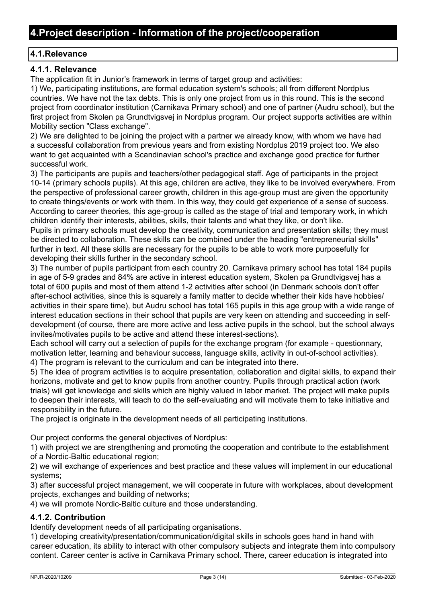## **4.1.Relevance**

## **4.1.1. Relevance**

The application fit in Junior's framework in terms of target group and activities:

1) We, participating institutions, are formal education system's schools; all from different Nordplus countries. We have not the tax debts. This is only one project from us in this round. This is the second project from coordinator institution (Carnikava Primary school) and one of partner (Audru school), but the first project from Skolen pa Grundtvigsvej in Nordplus program. Our project supports activities are within Mobility section "Class exchange".

2) We are delighted to be joining the project with a partner we already know, with whom we have had a successful collaboration from previous years and from existing Nordplus 2019 project too. We also want to get acquainted with a Scandinavian school's practice and exchange good practice for further successful work.

3) The participants are pupils and teachers/other pedagogical staff. Age of participants in the project 10-14 (primary schools pupils). At this age, children are active, they like to be involved everywhere. From the perspective of professional career growth, children in this age-group must are given the opportunity to create things/events or work with them. In this way, they could get experience of a sense of success. According to career theories, this age-group is called as the stage of trial and temporary work, in which children identify their interests, abilities, skills, their talents and what they like, or don't like.

Pupils in primary schools must develop the creativity, communication and presentation skills; they must be directed to collaboration. These skills can be combined under the heading "entrepreneurial skills" further in text. All these skills are necessary for the pupils to be able to work more purposefully for developing their skills further in the secondary school.

3) The number of pupils participant from each country 20. Carnikava primary school has total 184 pupils in age of 5-9 grades and 84% are active in interest education system, Skolen pa Grundtvigsvej has a total of 600 pupils and most of them attend 1-2 activities after school (in Denmark schools don't offer after-school activities, since this is squarely a family matter to decide whether their kids have hobbies/ activities in their spare time), but Audru school has total 165 pupils in this age group with a wide range of interest education sections in their school that pupils are very keen on attending and succeeding in selfdevelopment (of course, there are more active and less active pupils in the school, but the school always invites/motivates pupils to be active and attend these interest-sections).

Each school will carry out a selection of pupils for the exchange program (for example - questionnary, motivation letter, learning and behaviour success, language skills, activity in out-of-school activities). 4) The program is relevant to the curriculum and can be integrated into there.

5) The idea of program activities is to acquire presentation, collaboration and digital skills, to expand their

horizons, motivate and get to know pupils from another country. Pupils through practical action (work trials) will get knowledge and skills which are highly valued in labor market. The project will make pupils to deepen their interests, will teach to do the self-evaluating and will motivate them to take initiative and responsibility in the future.

The project is originate in the development needs of all participating institutions.

Our project conforms the general objectives of Nordplus:

1) with project we are strengthening and promoting the cooperation and contribute to the establishment of a Nordic-Baltic educational region;

2) we will exchange of experiences and best practice and these values will implement in our educational systems;

3) after successful project management, we will cooperate in future with workplaces, about development projects, exchanges and building of networks;

4) we will promote Nordic-Baltic culture and those understanding.

#### **4.1.2. Contribution**

Identify development needs of all participating organisations.

1) developing creativity/presentation/communication/digital skills in schools goes hand in hand with career education, its ability to interact with other compulsory subjects and integrate them into compulsory content. Career center is active in Carnikava Primary school. There, career education is integrated into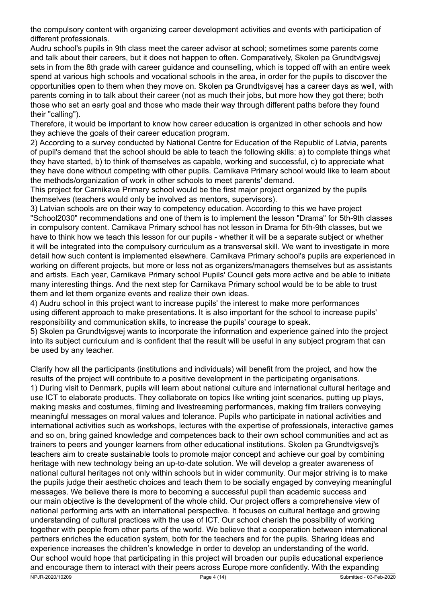the compulsory content with organizing career development activities and events with participation of different professionals.

Audru school's pupils in 9th class meet the career advisor at school; sometimes some parents come and talk about their careers, but it does not happen to often. Comparatively, Skolen pa Grundtvigsvej sets in from the 8th grade with career guidance and counselling, which is topped off with an entire week spend at various high schools and vocational schools in the area, in order for the pupils to discover the opportunities open to them when they move on. Skolen pa Grundtvigsvej has a career days as well, with parents coming in to talk about their career (not as much their jobs, but more how they got there; both those who set an early goal and those who made their way through different paths before they found their "calling").

Therefore, it would be important to know how career education is organized in other schools and how they achieve the goals of their career education program.

2) According to a survey conducted by National Centre for Education of the Republic of Latvia, parents of pupil's demand that the school should be able to teach the following skills: a) to complete things what they have started, b) to think of themselves as capable, working and successful, c) to appreciate what they have done without competing with other pupils. Carnikava Primary school would like to learn about the methods/organization of work in other schools to meet parents' demand.

This project for Carnikava Primary school would be the first major project organized by the pupils themselves (teachers would only be involved as mentors, supervisors).

3) Latvian schools are on their way to competency education. According to this we have project "School2030" recommendations and one of them is to implement the lesson "Drama" for 5th-9th classes in compulsory content. Carnikava Primary school has not lesson in Drama for 5th-9th classes, but we have to think how we teach this lesson for our pupils - whether it will be a separate subject or whether it will be integrated into the compulsory curriculum as a transversal skill. We want to investigate in more detail how such content is implemented elsewhere. Carnikava Primary school's pupils are experienced in working on different projects, but more or less not as organizers/managers themselves but as assistants and artists. Each year, Carnikava Primary school Pupils' Council gets more active and be able to initiate many interesting things. And the next step for Carnikava Primary school would be to be able to trust them and let them organize events and realize their own ideas.

4) Audru school in this project want to increase pupils' the interest to make more performances using different approach to make presentations. It is also important for the school to increase pupils' responsibility and communication skills, to increase the pupils' courage to speak.

5) Skolen pa Grundtvigsvej wants to incorporate the information and experience gained into the project into its subject curriculum and is confident that the result will be useful in any subject program that can be used by any teacher.

NPJR-2020/10209 Page 4 (14) Submitted - 03-Feb-2020 Clarify how all the participants (institutions and individuals) will benefit from the project, and how the results of the project will contribute to a positive development in the participating organisations. 1) During visit to Denmark, pupils will learn about national culture and international cultural heritage and use ICT to elaborate products. They collaborate on topics like writing joint scenarios, putting up plays, making masks and costumes, filming and livestreaming performances, making film trailers conveying meaningful messages on moral values and tolerance. Pupils who participate in national activities and international activities such as workshops, lectures with the expertise of professionals, interactive games and so on, bring gained knowledge and competences back to their own school communities and act as trainers to peers and younger learners from other educational institutions. Skolen pa Grundtvigsvej's teachers aim to create sustainable tools to promote major concept and achieve our goal by combining heritage with new technology being an up-to-date solution. We will develop a greater awareness of national cultural heritages not only within schools but in wider community. Our major striving is to make the pupils judge their aesthetic choices and teach them to be socially engaged by conveying meaningful messages. We believe there is more to becoming a successful pupil than academic success and our main objective is the development of the whole child. Our project offers a comprehensive view of national performing arts with an international perspective. It focuses on cultural heritage and growing understanding of cultural practices with the use of ICT. Our school cherish the possibility of working together with people from other parts of the world. We believe that a cooperation between international partners enriches the education system, both for the teachers and for the pupils. Sharing ideas and experience increases the children's knowledge in order to develop an understanding of the world. Our school would hope that participating in this project will broaden our pupils educational experience and encourage them to interact with their peers across Europe more confidently. With the expanding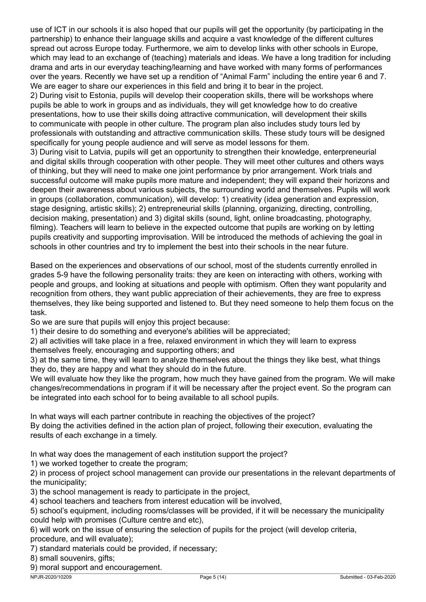use of ICT in our schools it is also hoped that our pupils will get the opportunity (by participating in the partnership) to enhance their language skills and acquire a vast knowledge of the different cultures spread out across Europe today. Furthermore, we aim to develop links with other schools in Europe, which may lead to an exchange of (teaching) materials and ideas. We have a long tradition for including drama and arts in our everyday teaching/learning and have worked with many forms of performances over the years. Recently we have set up a rendition of "Animal Farm" including the entire year 6 and 7. We are eager to share our experiences in this field and bring it to bear in the project.

2) During visit to Estonia, pupils will develop their cooperation skills, there will be workshops where pupils be able to work in groups and as individuals, they will get knowledge how to do creative presentations, how to use their skills doing attractive communication, will development their skills to communicate with people in other culture. The program plan also includes study tours led by professionals with outstanding and attractive communication skills. These study tours will be designed specifically for young people audience and will serve as model lessons for them.

3) During visit to Latvia, pupils will get an opportunity to strengthen their knowledge, enterpreneurial and digital skills through cooperation with other people. They will meet other cultures and others ways of thinking, but they will need to make one joint performance by prior arrangement. Work trials and successful outcome will make pupils more mature and independent; they will expand their horizons and deepen their awareness about various subjects, the surrounding world and themselves. Pupils will work in groups (collaboration, communication), will develop: 1) creativity (idea generation and expression, stage designing, artistic skills); 2) entrepreneurial skills (planning, organizing, directing, controlling, decision making, presentation) and 3) digital skills (sound, light, online broadcasting, photography, filming). Teachers will learn to believe in the expected outcome that pupils are working on by letting pupils creativity and supporting improvisation. Will be introduced the methods of achieving the goal in schools in other countries and try to implement the best into their schools in the near future.

Based on the experiences and observations of our school, most of the students currently enrolled in grades 5-9 have the following personality traits: they are keen on interacting with others, working with people and groups, and looking at situations and people with optimism. Often they want popularity and recognition from others, they want public appreciation of their achievements, they are free to express themselves, they like being supported and listened to. But they need someone to help them focus on the task.

So we are sure that pupils will enjoy this project because:

1) their desire to do something and everyone's abilities will be appreciated;

2) all activities will take place in a free, relaxed environment in which they will learn to express themselves freely, encouraging and supporting others; and

3) at the same time, they will learn to analyze themselves about the things they like best, what things they do, they are happy and what they should do in the future.

We will evaluate how they like the program, how much they have gained from the program. We will make changes/recommendations in program if it will be necessary after the project event. So the program can be integrated into each school for to being available to all school pupils.

In what ways will each partner contribute in reaching the objectives of the project? By doing the activities defined in the action plan of project, following their execution, evaluating the results of each exchange in a timely.

In what way does the management of each institution support the project?

1) we worked together to create the program;

2) in process of project school management can provide our presentations in the relevant departments of the municipality;

3) the school management is ready to participate in the project,

4) school teachers and teachers from interest education will be involved,

5) school's equipment, including rooms/classes will be provided, if it will be necessary the municipality could help with promises (Culture centre and etc),

6) will work on the issue of ensuring the selection of pupils for the project (will develop criteria, procedure, and will evaluate);

7) standard materials could be provided, if necessary;

8) small souvenirs, gifts;

9) moral support and encouragement.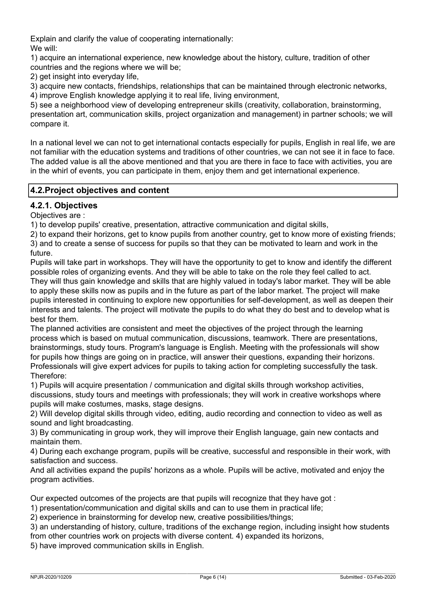Explain and clarify the value of cooperating internationally: We will:

1) acquire an international experience, new knowledge about the history, culture, tradition of other countries and the regions where we will be;

2) get insight into everyday life,

3) acquire new contacts, friendships, relationships that can be maintained through electronic networks,

4) improve English knowledge applying it to real life, living environment,

5) see a neighborhood view of developing entrepreneur skills (creativity, collaboration, brainstorming, presentation art, communication skills, project organization and management) in partner schools; we will compare it.

In a national level we can not to get international contacts especially for pupils. English in real life, we are not familiar with the education systems and traditions of other countries, we can not see it in face to face. The added value is all the above mentioned and that you are there in face to face with activities, you are in the whirl of events, you can participate in them, enjoy them and get international experience.

## **4.2.Project objectives and content**

## **4.2.1. Objectives**

Objectives are :

1) to develop pupils' creative, presentation, attractive communication and digital skills,

2) to expand their horizons, get to know pupils from another country, get to know more of existing friends; 3) and to create a sense of success for pupils so that they can be motivated to learn and work in the future.

Pupils will take part in workshops. They will have the opportunity to get to know and identify the different possible roles of organizing events. And they will be able to take on the role they feel called to act. They will thus gain knowledge and skills that are highly valued in today's labor market. They will be able to apply these skills now as pupils and in the future as part of the labor market. The project will make pupils interested in continuing to explore new opportunities for self-development, as well as deepen their interests and talents. The project will motivate the pupils to do what they do best and to develop what is best for them.

The planned activities are consistent and meet the objectives of the project through the learning process which is based on mutual communication, discussions, teamwork. There are presentations, brainstormings, study tours. Program's language is English. Meeting with the professionals will show for pupils how things are going on in practice, will answer their questions, expanding their horizons. Professionals will give expert advices for pupils to taking action for completing successfully the task. Therefore:

1) Pupils will acquire presentation / communication and digital skills through workshop activities, discussions, study tours and meetings with professionals; they will work in creative workshops where pupils will make costumes, masks, stage designs.

2) Will develop digital skills through video, editing, audio recording and connection to video as well as sound and light broadcasting.

3) By communicating in group work, they will improve their English language, gain new contacts and maintain them.

4) During each exchange program, pupils will be creative, successful and responsible in their work, with satisfaction and success.

And all activities expand the pupils' horizons as a whole. Pupils will be active, motivated and enjoy the program activities.

Our expected outcomes of the projects are that pupils will recognize that they have got :

1) presentation/communication and digital skills and can to use them in practical life;

2) experience in brainstorming for develop new, creative possibilities/things;

3) an understanding of history, culture, traditions of the exchange region, including insight how students from other countries work on projects with diverse content. 4) expanded its horizons,

5) have improved communication skills in English.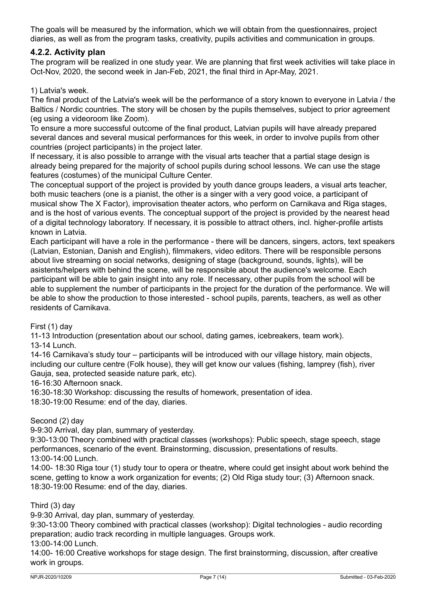The goals will be measured by the information, which we will obtain from the questionnaires, project diaries, as well as from the program tasks, creativity, pupils activities and communication in groups.

## **4.2.2. Activity plan**

The program will be realized in one study year. We are planning that first week activities will take place in Oct-Nov, 2020, the second week in Jan-Feb, 2021, the final third in Apr-May, 2021.

#### 1) Latvia's week.

The final product of the Latvia's week will be the performance of a story known to everyone in Latvia / the Baltics / Nordic countries. The story will be chosen by the pupils themselves, subject to prior agreement (eg using a videoroom like Zoom).

To ensure a more successful outcome of the final product, Latvian pupils will have already prepared several dances and several musical performances for this week, in order to involve pupils from other countries (project participants) in the project later.

If necessary, it is also possible to arrange with the visual arts teacher that a partial stage design is already being prepared for the majority of school pupils during school lessons. We can use the stage features (costumes) of the municipal Culture Center.

The conceptual support of the project is provided by youth dance groups leaders, a visual arts teacher, both music teachers (one is a pianist, the other is a singer with a very good voice, a participant of musical show The X Factor), improvisation theater actors, who perform on Carnikava and Riga stages, and is the host of various events. The conceptual support of the project is provided by the nearest head of a digital technology laboratory. If necessary, it is possible to attract others, incl. higher-profile artists known in Latvia.

Each participant will have a role in the performance - there will be dancers, singers, actors, text speakers (Latvian, Estonian, Danish and English), filmmakers, video editors. There will be responsible persons about live streaming on social networks, designing of stage (background, sounds, lights), will be asistents/helpers with behind the scene, will be responsible about the audience's welcome. Each participant will be able to gain insight into any role. If necessary, other pupils from the school will be able to supplement the number of participants in the project for the duration of the performance. We will be able to show the production to those interested - school pupils, parents, teachers, as well as other residents of Carnikava.

#### First (1) day

11-13 Introduction (presentation about our school, dating games, icebreakers, team work).

13-14 Lunch.

14-16 Carnikava's study tour – participants will be introduced with our village history, main objects, including our culture centre (Folk house), they will get know our values (fishing, lamprey (fish), river Gauja, sea, protected seaside nature park, etc).

16-16:30 Afternoon snack.

16:30-18:30 Workshop: discussing the results of homework, presentation of idea.

18:30-19:00 Resume: end of the day, diaries.

#### Second (2) day

9-9:30 Arrival, day plan, summary of yesterday.

9:30-13:00 Theory combined with practical classes (workshops): Public speech, stage speech, stage performances, scenario of the event. Brainstorming, discussion, presentations of results. 13:00-14:00 Lunch.

14:00- 18:30 Riga tour (1) study tour to opera or theatre, where could get insight about work behind the scene, getting to know a work organization for events; (2) Old Riga study tour; (3) Afternoon snack. 18:30-19:00 Resume: end of the day, diaries.

Third (3) day

9-9:30 Arrival, day plan, summary of yesterday.

9:30-13:00 Theory combined with practical classes (workshop): Digital technologies - audio recording preparation; audio track recording in multiple languages. Groups work.

#### 13:00-14:00 Lunch.

14:00- 16:00 Creative workshops for stage design. The first brainstorming, discussion, after creative work in groups.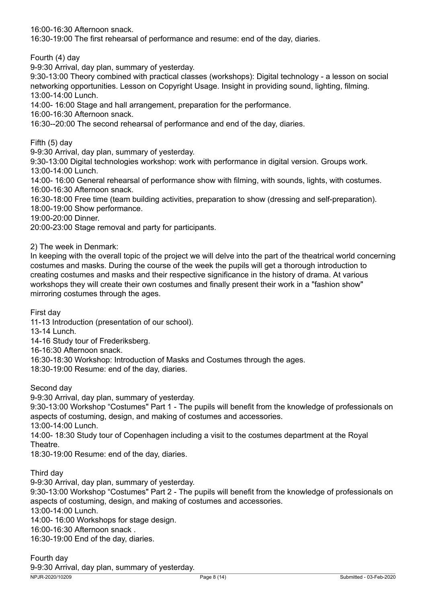16:00-16:30 Afternoon snack.

16:30-19:00 The first rehearsal of performance and resume: end of the day, diaries.

Fourth (4) day

9-9:30 Arrival, day plan, summary of yesterday.

9:30-13:00 Theory combined with practical classes (workshops): Digital technology - a lesson on social networking opportunities. Lesson on Copyright Usage. Insight in providing sound, lighting, filming. 13:00-14:00 Lunch.

14:00- 16:00 Stage and hall arrangement, preparation for the performance.

16:00-16:30 Afternoon snack.

16:30--20:00 The second rehearsal of performance and end of the day, diaries.

Fifth (5) day

9-9:30 Arrival, day plan, summary of yesterday.

9:30-13:00 Digital technologies workshop: work with performance in digital version. Groups work. 13:00-14:00 Lunch.

14:00- 16:00 General rehearsal of performance show with filming, with sounds, lights, with costumes. 16:00-16:30 Afternoon snack.

16:30-18:00 Free time (team building activities, preparation to show (dressing and self-preparation).

18:00-19:00 Show performance.

19:00-20:00 Dinner.

20:00-23:00 Stage removal and party for participants.

2) The week in Denmark:

In keeping with the overall topic of the project we will delve into the part of the theatrical world concerning costumes and masks. During the course of the week the pupils will get a thorough introduction to creating costumes and masks and their respective significance in the history of drama. At various workshops they will create their own costumes and finally present their work in a "fashion show" mirroring costumes through the ages.

First day

11-13 Introduction (presentation of our school).

13-14 Lunch.

14-16 Study tour of Frederiksberg.

16-16:30 Afternoon snack.

16:30-18:30 Workshop: Introduction of Masks and Costumes through the ages.

18:30-19:00 Resume: end of the day, diaries.

Second day

9-9:30 Arrival, day plan, summary of yesterday.

9:30-13:00 Workshop "Costumes" Part 1 - The pupils will benefit from the knowledge of professionals on aspects of costuming, design, and making of costumes and accessories.

13:00-14:00 Lunch.

14:00- 18:30 Study tour of Copenhagen including a visit to the costumes department at the Royal Theatre.

18:30-19:00 Resume: end of the day, diaries.

Third day

9-9:30 Arrival, day plan, summary of yesterday.

9:30-13:00 Workshop "Costumes" Part 2 - The pupils will benefit from the knowledge of professionals on aspects of costuming, design, and making of costumes and accessories.

13:00-14:00 Lunch.

14:00- 16:00 Workshops for stage design.

16:00-16:30 Afternoon snack .

16:30-19:00 End of the day, diaries.

NPJR-2020/10209 Page 8 (14) Submitted - 03-Feb-2020 Fourth day 9-9:30 Arrival, day plan, summary of yesterday.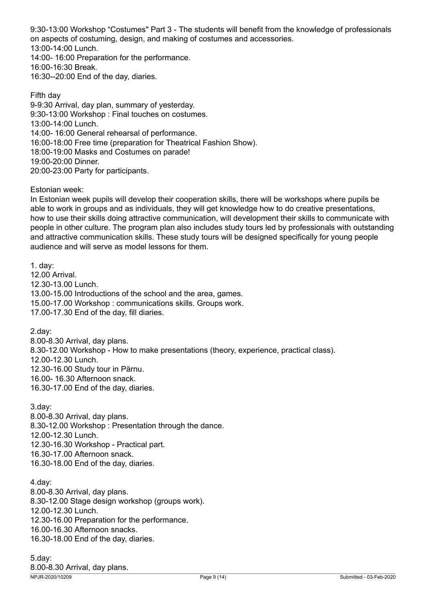9:30-13:00 Workshop "Costumes" Part 3 - The students will benefit from the knowledge of professionals on aspects of costuming, design, and making of costumes and accessories. 13:00-14:00 Lunch.

14:00- 16:00 Preparation for the performance.

16:00-16:30 Break.

16:30--20:00 End of the day, diaries.

Fifth day 9-9:30 Arrival, day plan, summary of yesterday. 9:30-13:00 Workshop : Final touches on costumes. 13:00-14:00 Lunch. 14:00- 16:00 General rehearsal of performance. 16:00-18:00 Free time (preparation for Theatrical Fashion Show). 18:00-19:00 Masks and Costumes on parade! 19:00-20:00 Dinner. 20:00-23:00 Party for participants.

Estonian week:

In Estonian week pupils will develop their cooperation skills, there will be workshops where pupils be able to work in groups and as individuals, they will get knowledge how to do creative presentations, how to use their skills doing attractive communication, will development their skills to communicate with people in other culture. The program plan also includes study tours led by professionals with outstanding and attractive communication skills. These study tours will be designed specifically for young people audience and will serve as model lessons for them.

1. day: 12.00 Arrival. 12.30-13.00 Lunch. 13.00-15.00 Introductions of the school and the area, games. 15.00-17.00 Workshop : communications skills. Groups work. 17.00-17.30 End of the day, fill diaries.

2.day:

8.00-8.30 Arrival, day plans.

8.30-12.00 Workshop - How to make presentations (theory, experience, practical class).

12.00-12.30 Lunch.

12.30-16.00 Study tour in Pärnu.

16.00- 16.30 Afternoon snack.

16.30-17.00 End of the day, diaries.

3.day:

8.00-8.30 Arrival, day plans. 8.30-12.00 Workshop : Presentation through the dance. 12.00-12.30 Lunch. 12.30-16.30 Workshop - Practical part. 16.30-17.00 Afternoon snack. 16.30-18.00 End of the day, diaries.

4.day: 8.00-8.30 Arrival, day plans. 8.30-12.00 Stage design workshop (groups work). 12.00-12.30 Lunch. 12.30-16.00 Preparation for the performance. 16.00-16.30 Afternoon snacks.

16.30-18.00 End of the day, diaries.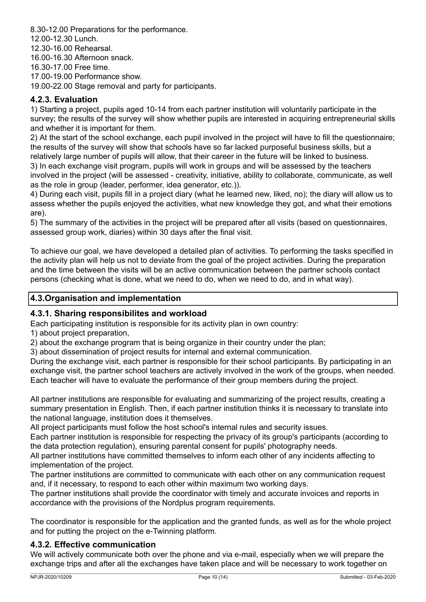8.30-12.00 Preparations for the performance.

12.00-12.30 Lunch.

12.30-16.00 Rehearsal.

16.00-16.30 Afternoon snack.

16.30-17.00 Free time.

17.00-19.00 Performance show.

19.00-22.00 Stage removal and party for participants.

## **4.2.3. Evaluation**

1) Starting a project, pupils aged 10-14 from each partner institution will voluntarily participate in the survey; the results of the survey will show whether pupils are interested in acquiring entrepreneurial skills and whether it is important for them.

2) At the start of the school exchange, each pupil involved in the project will have to fill the questionnaire; the results of the survey will show that schools have so far lacked purposeful business skills, but a relatively large number of pupils will allow, that their career in the future will be linked to business.

3) In each exchange visit program, pupils will work in groups and will be assessed by the teachers involved in the project (will be assessed - creativity, initiative, ability to collaborate, communicate, as well as the role in group (leader, performer, idea generator, etc.)).

4) During each visit, pupils fill in a project diary (what he learned new, liked, no); the diary will allow us to assess whether the pupils enjoyed the activities, what new knowledge they got, and what their emotions are).

5) The summary of the activities in the project will be prepared after all visits (based on questionnaires, assessed group work, diaries) within 30 days after the final visit.

To achieve our goal, we have developed a detailed plan of activities. To performing the tasks specified in the activity plan will help us not to deviate from the goal of the project activities. During the preparation and the time between the visits will be an active communication between the partner schools contact persons (checking what is done, what we need to do, when we need to do, and in what way).

## **4.3.Organisation and implementation**

## **4.3.1. Sharing responsibilites and workload**

Each participating institution is responsible for its activity plan in own country:

1) about project preparation,

2) about the exchange program that is being organize in their country under the plan;

3) about dissemination of project results for internal and external communication.

During the exchange visit, each partner is responsible for their school participants. By participating in an exchange visit, the partner school teachers are actively involved in the work of the groups, when needed. Each teacher will have to evaluate the performance of their group members during the project.

All partner institutions are responsible for evaluating and summarizing of the project results, creating a summary presentation in English. Then, if each partner institution thinks it is necessary to translate into the national language, institution does it themselves.

All project participants must follow the host school's internal rules and security issues.

Each partner institution is responsible for respecting the privacy of its group's participants (according to the data protection regulation), ensuring parental consent for pupils' photography needs.

All partner institutions have committed themselves to inform each other of any incidents affecting to implementation of the project.

The partner institutions are committed to communicate with each other on any communication request and, if it necessary, to respond to each other within maximum two working days.

The partner institutions shall provide the coordinator with timely and accurate invoices and reports in accordance with the provisions of the Nordplus program requirements.

The coordinator is responsible for the application and the granted funds, as well as for the whole project and for putting the project on the e-Twinning platform.

## **4.3.2. Effective communication**

We will actively communicate both over the phone and via e-mail, especially when we will prepare the exchange trips and after all the exchanges have taken place and will be necessary to work together on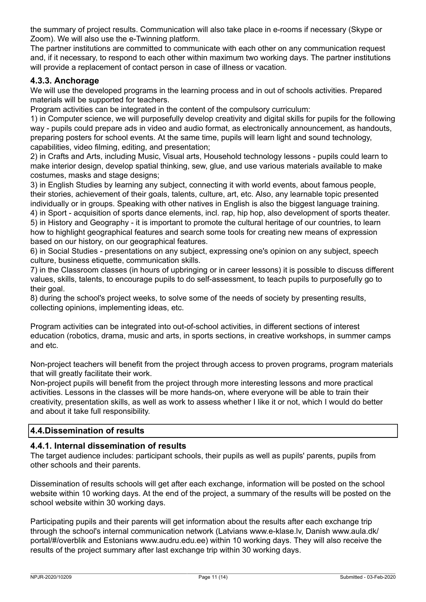the summary of project results. Communication will also take place in e-rooms if necessary (Skype or Zoom). We will also use the e-Twinning platform.

The partner institutions are committed to communicate with each other on any communication request and, if it necessary, to respond to each other within maximum two working days. The partner institutions will provide a replacement of contact person in case of illness or vacation.

## **4.3.3. Anchorage**

We will use the developed programs in the learning process and in out of schools activities. Prepared materials will be supported for teachers.

Program activities can be integrated in the content of the compulsory curriculum:

1) in Computer science, we will purposefully develop creativity and digital skills for pupils for the following way - pupils could prepare ads in video and audio format, as electronically announcement, as handouts, preparing posters for school events. At the same time, pupils will learn light and sound technology, capabilities, video filming, editing, and presentation;

2) in Crafts and Arts, including Music, Visual arts, Household technology lessons - pupils could learn to make interior design, develop spatial thinking, sew, glue, and use various materials available to make costumes, masks and stage designs;

3) in English Studies by learning any subject, connecting it with world events, about famous people, their stories, achievement of their goals, talents, culture, art, etc. Also, any learnable topic presented individually or in groups. Speaking with other natives in English is also the biggest language training.

4) in Sport - acquisition of sports dance elements, incl. rap, hip hop, also development of sports theater. 5) in History and Geography - it is important to promote the cultural heritage of our countries, to learn how to highlight geographical features and search some tools for creating new means of expression based on our history, on our geographical features.

6) in Social Studies - presentations on any subject, expressing one's opinion on any subject, speech culture, business etiquette, communication skills.

7) in the Classroom classes (in hours of upbringing or in career lessons) it is possible to discuss different values, skills, talents, to encourage pupils to do self-assessment, to teach pupils to purposefully go to their goal.

8) during the school's project weeks, to solve some of the needs of society by presenting results, collecting opinions, implementing ideas, etc.

Program activities can be integrated into out-of-school activities, in different sections of interest education (robotics, drama, music and arts, in sports sections, in creative workshops, in summer camps and etc.

Non-project teachers will benefit from the project through access to proven programs, program materials that will greatly facilitate their work.

Non-project pupils will benefit from the project through more interesting lessons and more practical activities. Lessons in the classes will be more hands-on, where everyone will be able to train their creativity, presentation skills, as well as work to assess whether I like it or not, which I would do better and about it take full responsibility.

## **4.4.Dissemination of results**

## **4.4.1. Internal dissemination of results**

The target audience includes: participant schools, their pupils as well as pupils' parents, pupils from other schools and their parents.

Dissemination of results schools will get after each exchange, information will be posted on the school website within 10 working days. At the end of the project, a summary of the results will be posted on the school website within 30 working days.

Participating pupils and their parents will get information about the results after each exchange trip through the school's internal communication network (Latvians www.e-klase.lv, Danish www.aula.dk/ portal/#/overblik and Estonians www.audru.edu.ee) within 10 working days. They will also receive the results of the project summary after last exchange trip within 30 working days.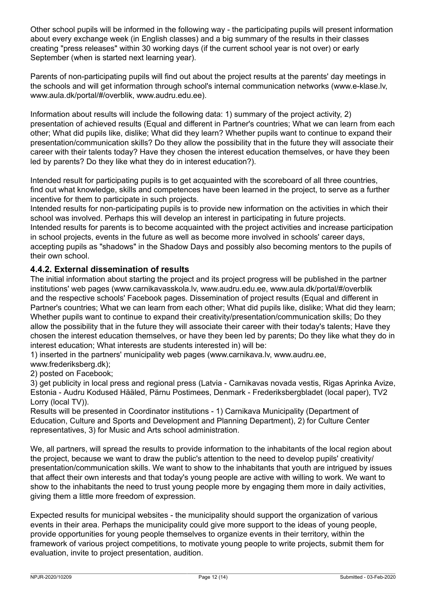Other school pupils will be informed in the following way - the participating pupils will present information about every exchange week (in English classes) and a big summary of the results in their classes creating "press releases" within 30 working days (if the current school year is not over) or early September (when is started next learning year).

Parents of non-participating pupils will find out about the project results at the parents' day meetings in the schools and will get information through school's internal communication networks (www.e-klase.lv, www.aula.dk/portal/#/overblik, www.audru.edu.ee).

Information about results will include the following data: 1) summary of the project activity, 2) presentation of achieved results (Equal and different in Partner's countries; What we can learn from each other; What did pupils like, dislike; What did they learn? Whether pupils want to continue to expand their presentation/communication skills? Do they allow the possibility that in the future they will associate their career with their talents today? Have they chosen the interest education themselves, or have they been led by parents? Do they like what they do in interest education?).

Intended result for participating pupils is to get acquainted with the scoreboard of all three countries, find out what knowledge, skills and competences have been learned in the project, to serve as a further incentive for them to participate in such projects.

Intended results for non-participating pupils is to provide new information on the activities in which their school was involved. Perhaps this will develop an interest in participating in future projects. Intended results for parents is to become acquainted with the project activities and increase participation in school projects, events in the future as well as become more involved in schools' career days, accepting pupils as "shadows" in the Shadow Days and possibly also becoming mentors to the pupils of their own school.

## **4.4.2. External dissemination of results**

The initial information about starting the project and its project progress will be published in the partner institutions' web pages (www.carnikavasskola.lv, www.audru.edu.ee, www.aula.dk/portal/#/overblik and the respective schools' Facebook pages. Dissemination of project results (Equal and different in Partner's countries; What we can learn from each other; What did pupils like, dislike; What did they learn; Whether pupils want to continue to expand their creativity/presentation/communication skills; Do they allow the possibility that in the future they will associate their career with their today's talents; Have they chosen the interest education themselves, or have they been led by parents; Do they like what they do in interest education; What interests are students interested in) will be:

1) inserted in the partners' municipality web pages (www.carnikava.lv, www.audru.ee, www.frederiksberg.dk);

2) posted on Facebook;

3) get publicity in local press and regional press (Latvia - Carnikavas novada vestis, Rigas Aprinka Avize, Estonia - Audru Kodused Hääled, Pärnu Postimees, Denmark - Frederiksbergbladet (local paper), TV2 Lorry (local TV)).

Results will be presented in Coordinator institutions - 1) Carnikava Municipality (Department of Education, Culture and Sports and Development and Planning Department), 2) for Culture Center representatives, 3) for Music and Arts school administration.

We, all partners, will spread the results to provide information to the inhabitants of the local region about the project, because we want to draw the public's attention to the need to develop pupils' creativity/ presentation/communication skills. We want to show to the inhabitants that youth are intrigued by issues that affect their own interests and that today's young people are active with willing to work. We want to show to the inhabitants the need to trust young people more by engaging them more in daily activities, giving them a little more freedom of expression.

Expected results for municipal websites - the municipality should support the organization of various events in their area. Perhaps the municipality could give more support to the ideas of young people, provide opportunities for young people themselves to organize events in their territory, within the framework of various project competitions, to motivate young people to write projects, submit them for evaluation, invite to project presentation, audition.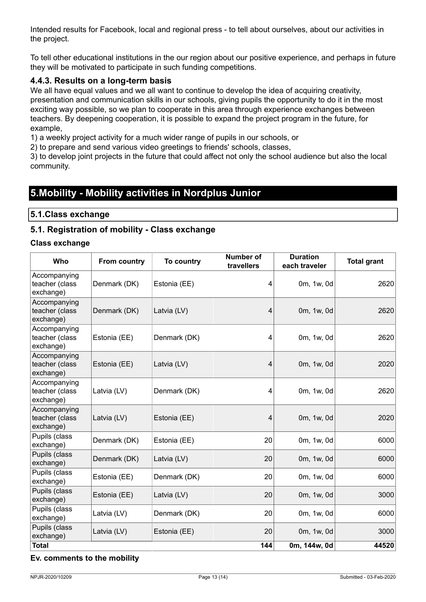Intended results for Facebook, local and regional press - to tell about ourselves, about our activities in the project.

To tell other educational institutions in the our region about our positive experience, and perhaps in future they will be motivated to participate in such funding competitions.

### **4.4.3. Results on a long-term basis**

We all have equal values and we all want to continue to develop the idea of acquiring creativity, presentation and communication skills in our schools, giving pupils the opportunity to do it in the most exciting way possible, so we plan to cooperate in this area through experience exchanges between teachers. By deepening cooperation, it is possible to expand the project program in the future, for example,

1) a weekly project activity for a much wider range of pupils in our schools, or

2) to prepare and send various video greetings to friends' schools, classes,

3) to develop joint projects in the future that could affect not only the school audience but also the local community.

## **5.Mobility - Mobility activities in Nordplus Junior**

#### **5.1.Class exchange**

#### **5.1. Registration of mobility - Class exchange**

#### **Class exchange**

| Who                                         | From country | To country   | <b>Number of</b><br>travellers | <b>Duration</b><br>each traveler | <b>Total grant</b> |
|---------------------------------------------|--------------|--------------|--------------------------------|----------------------------------|--------------------|
| Accompanying<br>teacher (class<br>exchange) | Denmark (DK) | Estonia (EE) | 4                              | 0m, 1w, 0d                       | 2620               |
| Accompanying<br>teacher (class<br>exchange) | Denmark (DK) | Latvia (LV)  | $\overline{4}$                 | 0m, 1w, 0d                       | 2620               |
| Accompanying<br>teacher (class<br>exchange) | Estonia (EE) | Denmark (DK) | 4                              | 0m, 1w, 0d                       | 2620               |
| Accompanying<br>teacher (class<br>exchange) | Estonia (EE) | Latvia (LV)  | 4                              | 0m, 1w, 0d                       | 2020               |
| Accompanying<br>teacher (class<br>exchange) | Latvia (LV)  | Denmark (DK) | 4                              | 0m, 1w, 0d                       | 2620               |
| Accompanying<br>teacher (class<br>exchange) | Latvia (LV)  | Estonia (EE) | $\overline{4}$                 | 0m, 1w, 0d                       | 2020               |
| Pupils (class<br>exchange)                  | Denmark (DK) | Estonia (EE) | 20                             | 0m, 1w, 0d                       | 6000               |
| Pupils (class<br>exchange)                  | Denmark (DK) | Latvia (LV)  | 20                             | 0m, 1w, 0d                       | 6000               |
| Pupils (class<br>exchange)                  | Estonia (EE) | Denmark (DK) | 20                             | 0m, 1w, 0d                       | 6000               |
| Pupils (class<br>exchange)                  | Estonia (EE) | Latvia (LV)  | 20                             | 0m, 1w, 0d                       | 3000               |
| Pupils (class<br>exchange)                  | Latvia (LV)  | Denmark (DK) | 20                             | 0m, 1w, 0d                       | 6000               |
| Pupils (class<br>exchange)                  | Latvia (LV)  | Estonia (EE) | 20                             | 0m, 1w, 0d                       | 3000               |
| <b>Total</b>                                |              |              | 144                            | 0m, 144w, 0d                     | 44520              |

#### **Ev. comments to the mobility**